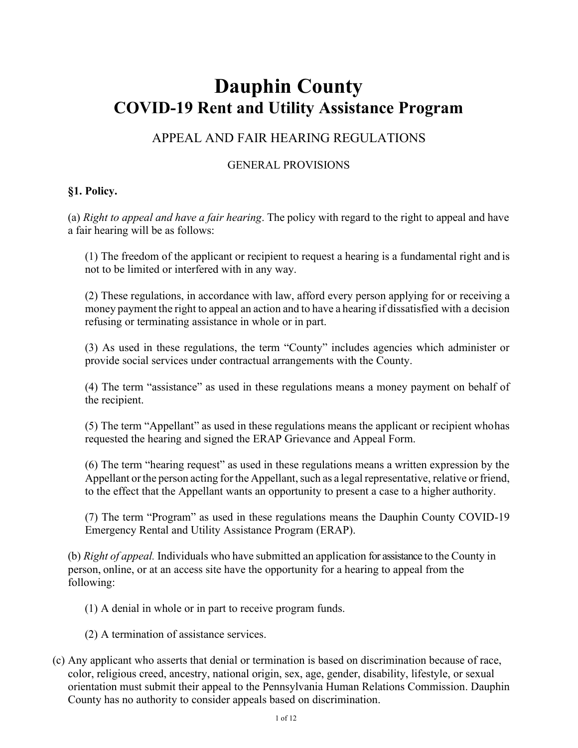# **Dauphin County COVID-19 Rent and Utility Assistance Program**

## APPEAL AND FAIR HEARING REGULATIONS

#### GENERAL PROVISIONS

#### **§1. Policy.**

(a) *Right to appeal and have a fair hearing*. The policy with regard to the right to appeal and have a fair hearing will be as follows:

(1) The freedom of the applicant or recipient to request a hearing is a fundamental right and is not to be limited or interfered with in any way.

(2) These regulations, in accordance with law, afford every person applying for or receiving a money payment the right to appeal an action and to have a hearing if dissatisfied with a decision refusing or terminating assistance in whole or in part.

(3) As used in these regulations, the term "County" includes agencies which administer or provide social services under contractual arrangements with the County.

(4) The term "assistance" as used in these regulations means a money payment on behalf of the recipient.

(5) The term "Appellant" as used in these regulations means the applicant or recipient who has requested the hearing and signed the ERAP Grievance and Appeal Form.

(6) The term "hearing request" as used in these regulations means a written expression by the Appellant or the person acting for the Appellant, such as a legal representative, relative or friend, to the effect that the Appellant wants an opportunity to present a case to a higher authority.

(7) The term "Program" as used in these regulations means the Dauphin County COVID-19 Emergency Rental and Utility Assistance Program (ERAP).

(b) *Right of appeal.* Individuals who have submitted an application for assistance to the County in person, online, or at an access site have the opportunity for a hearing to appeal from the following:

(1) A denial in whole or in part to receive program funds.

- (2) A termination of assistance services.
- (c) Any applicant who asserts that denial or termination is based on discrimination because of race, color, religious creed, ancestry, national origin, sex, age, gender, disability, lifestyle, or sexual orientation must submit their appeal to the Pennsylvania Human Relations Commission. Dauphin County has no authority to consider appeals based on discrimination.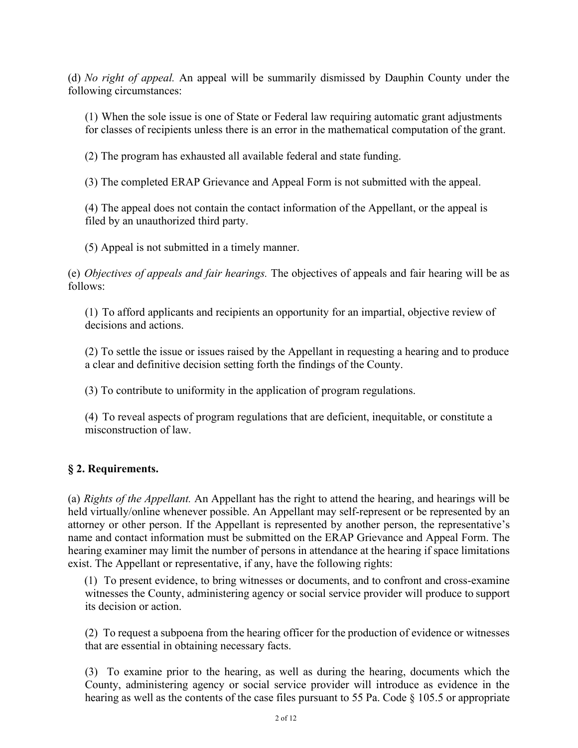(d) *No right of appeal.* An appeal will be summarily dismissed by Dauphin County under the following circumstances:

(1) When the sole issue is one of State or Federal law requiring automatic grant adjustments for classes of recipients unless there is an error in the mathematical computation of the grant.

(2) The program has exhausted all available federal and state funding.

(3) The completed ERAP Grievance and Appeal Form is not submitted with the appeal.

(4) The appeal does not contain the contact information of the Appellant, or the appeal is filed by an unauthorized third party.

(5) Appeal is not submitted in a timely manner.

(e) *Objectives of appeals and fair hearings.* The objectives of appeals and fair hearing will be as follows:

(1) To afford applicants and recipients an opportunity for an impartial, objective review of decisions and actions.

(2) To settle the issue or issues raised by the Appellant in requesting a hearing and to produce a clear and definitive decision setting forth the findings of the County.

(3) To contribute to uniformity in the application of program regulations.

(4) To reveal aspects of program regulations that are deficient, inequitable, or constitute a misconstruction of law.

#### **§ 2. Requirements.**

(a) *Rights of the Appellant.* An Appellant has the right to attend the hearing, and hearings will be held virtually/online whenever possible. An Appellant may self-represent or be represented by an attorney or other person. If the Appellant is represented by another person, the representative's name and contact information must be submitted on the ERAP Grievance and Appeal Form. The hearing examiner may limit the number of persons in attendance at the hearing if space limitations exist. The Appellant or representative, if any, have the following rights:

(1) To present evidence, to bring witnesses or documents, and to confront and cross-examine witnesses the County, administering agency or social service provider will produce to support its decision or action.

(2) To request a subpoena from the hearing officer for the production of evidence or witnesses that are essential in obtaining necessary facts.

(3) To examine prior to the hearing, as well as during the hearing, documents which the County, administering agency or social service provider will introduce as evidence in the hearing as well as the contents of the case files pursuant to 55 Pa. Code  $\S$  105.5 or appropriate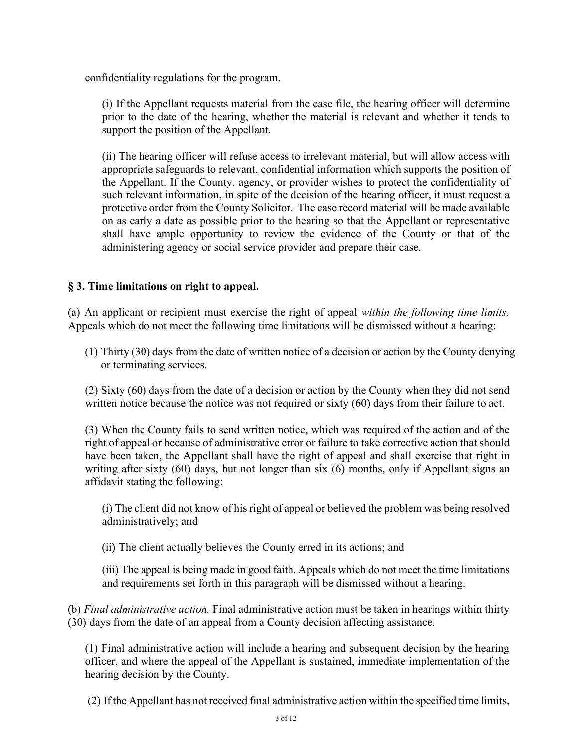confidentiality regulations for the program.

(i) If the Appellant requests material from the case file, the hearing officer will determine prior to the date of the hearing, whether the material is relevant and whether it tends to support the position of the Appellant.

(ii) The hearing officer will refuse access to irrelevant material, but will allow access with appropriate safeguards to relevant, confidential information which supports the position of the Appellant. If the County, agency, or provider wishes to protect the confidentiality of such relevant information, in spite of the decision of the hearing officer, it must request a protective order from the County Solicitor. The case record material will be made available on as early a date as possible prior to the hearing so that the Appellant or representative shall have ample opportunity to review the evidence of the County or that of the administering agency or social service provider and prepare their case.

#### **§ 3. Time limitations on right to appeal.**

(a) An applicant or recipient must exercise the right of appeal *within the following time limits.*  Appeals which do not meet the following time limitations will be dismissed without a hearing:

(1) Thirty (30) days from the date of written notice of a decision or action by the County denying or terminating services.

(2) Sixty (60) days from the date of a decision or action by the County when they did not send written notice because the notice was not required or sixty (60) days from their failure to act.

(3) When the County fails to send written notice, which was required of the action and of the right of appeal or because of administrative error or failure to take corrective action that should have been taken, the Appellant shall have the right of appeal and shall exercise that right in writing after sixty (60) days, but not longer than six (6) months, only if Appellant signs an affidavit stating the following:

(i) The client did not know of his right of appeal or believed the problem was being resolved administratively; and

(ii) The client actually believes the County erred in its actions; and

(iii) The appeal is being made in good faith. Appeals which do not meet the time limitations and requirements set forth in this paragraph will be dismissed without a hearing.

(b) *Final administrative action.* Final administrative action must be taken in hearings within thirty (30) days from the date of an appeal from a County decision affecting assistance.

(1) Final administrative action will include a hearing and subsequent decision by the hearing officer, and where the appeal of the Appellant is sustained, immediate implementation of the hearing decision by the County.

(2) If the Appellant has not received final administrative action within the specified time limits,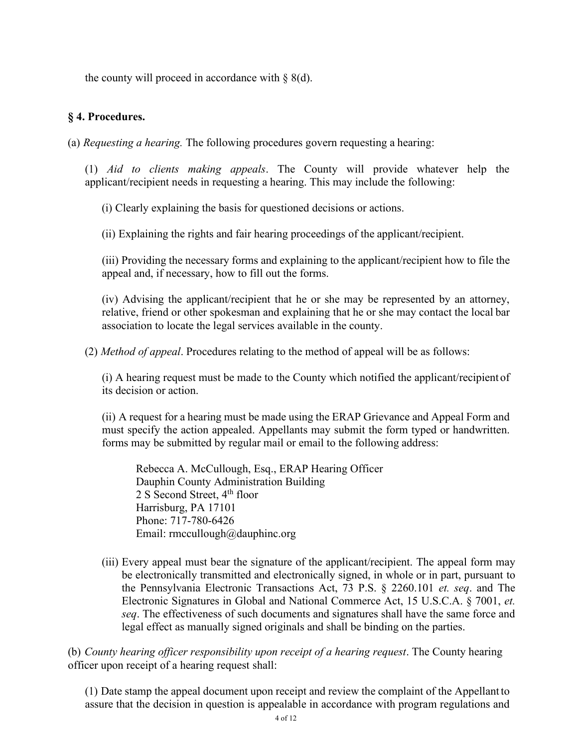the county will proceed in accordance with  $\S$  8(d).

#### **§ 4. Procedures.**

(a) *Requesting a hearing.* The following procedures govern requesting a hearing:

(1) *Aid to clients making appeals*. The County will provide whatever help the applicant/recipient needs in requesting a hearing. This may include the following:

(i) Clearly explaining the basis for questioned decisions or actions.

(ii) Explaining the rights and fair hearing proceedings of the applicant/recipient.

(iii) Providing the necessary forms and explaining to the applicant/recipient how to file the appeal and, if necessary, how to fill out the forms.

(iv) Advising the applicant/recipient that he or she may be represented by an attorney, relative, friend or other spokesman and explaining that he or she may contact the local bar association to locate the legal services available in the county.

(2) *Method of appeal*. Procedures relating to the method of appeal will be as follows:

(i) A hearing request must be made to the County which notified the applicant/recipient of its decision or action.

(ii) A request for a hearing must be made using the ERAP Grievance and Appeal Form and must specify the action appealed. Appellants may submit the form typed or handwritten. forms may be submitted by regular mail or email to the following address:

Rebecca A. McCullough, Esq., ERAP Hearing Officer Dauphin County Administration Building 2 S Second Street,  $4<sup>th</sup>$  floor Harrisburg, PA 17101 Phone: 717-780-6426 Email: [rmccullough@dauphinc.org](mailto:rmccullough@dauphinc.org)

(iii) Every appeal must bear the signature of the applicant/recipient. The appeal form may be electronically transmitted and electronically signed, in whole or in part, pursuant to the Pennsylvania Electronic Transactions Act, 73 P.S. § 2260.101 *et. seq*. and The Electronic Signatures in Global and National Commerce Act, 15 U.S.C.A. § 7001, *et. seq*. The effectiveness of such documents and signatures shall have the same force and legal effect as manually signed originals and shall be binding on the parties.

(b) *County hearing officer responsibility upon receipt of a hearing request*. The County hearing officer upon receipt of a hearing request shall:

(1) Date stamp the appeal document upon receipt and review the complaint of the Appellant to assure that the decision in question is appealable in accordance with program regulations and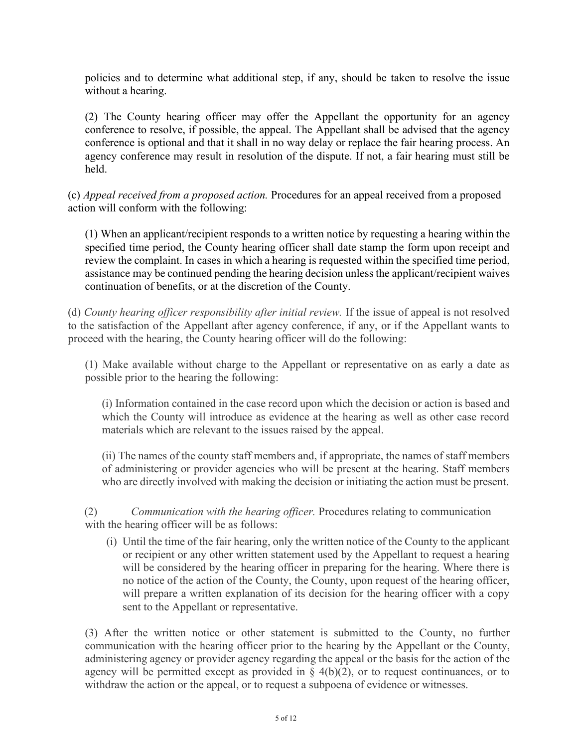policies and to determine what additional step, if any, should be taken to resolve the issue without a hearing.

(2) The County hearing officer may offer the Appellant the opportunity for an agency conference to resolve, if possible, the appeal. The Appellant shall be advised that the agency conference is optional and that it shall in no way delay or replace the fair hearing process. An agency conference may result in resolution of the dispute. If not, a fair hearing must still be held.

(c) *Appeal received from a proposed action.* Procedures for an appeal received from a proposed action will conform with the following:

(1) When an applicant/recipient responds to a written notice by requesting a hearing within the specified time period, the County hearing officer shall date stamp the form upon receipt and review the complaint. In cases in which a hearing is requested within the specified time period, assistance may be continued pending the hearing decision unless the applicant/recipient waives continuation of benefits, or at the discretion of the County.

(d) *County hearing officer responsibility after initial review.* If the issue of appeal is not resolved to the satisfaction of the Appellant after agency conference, if any, or if the Appellant wants to proceed with the hearing, the County hearing officer will do the following:

(1) Make available without charge to the Appellant or representative on as early a date as possible prior to the hearing the following:

(i) Information contained in the case record upon which the decision or action is based and which the County will introduce as evidence at the hearing as well as other case record materials which are relevant to the issues raised by the appeal.

(ii) The names of the county staff members and, if appropriate, the names of staff members of administering or provider agencies who will be present at the hearing. Staff members who are directly involved with making the decision or initiating the action must be present.

(2) *Communication with the hearing officer.* Procedures relating to communication with the hearing officer will be as follows:

(i) Until the time of the fair hearing, only the written notice of the County to the applicant or recipient or any other written statement used by the Appellant to request a hearing will be considered by the hearing officer in preparing for the hearing. Where there is no notice of the action of the County, the County, upon request of the hearing officer, will prepare a written explanation of its decision for the hearing officer with a copy sent to the Appellant or representative.

(3) After the written notice or other statement is submitted to the County, no further communication with the hearing officer prior to the hearing by the Appellant or the County, administering agency or provider agency regarding the appeal or the basis for the action of the agency will be permitted except as provided in  $\S$  4(b)(2), or to request continuances, or to withdraw the action or the appeal, or to request a subpoena of evidence or witnesses.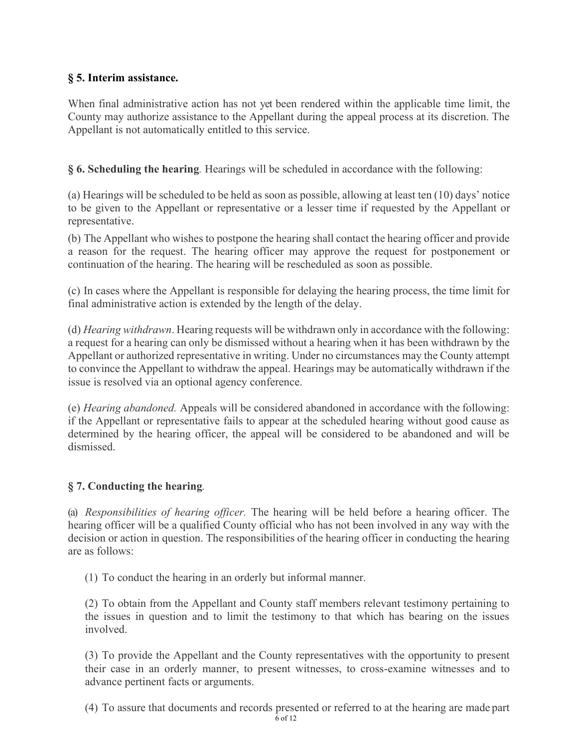## **§ 5. Interim assistance.**

When final administrative action has not yet been rendered within the applicable time limit, the County may authorize assistance to the Appellant during the appeal process at its discretion. The Appellant is not automatically entitled to this service.

**§ 6. Scheduling the hearing***.* Hearings will be scheduled in accordance with the following:

(a) Hearings will be scheduled to be held as soon as possible, allowing at least ten (10) days' notice to be given to the Appellant or representative or a lesser time if requested by the Appellant or representative.

(b) The Appellant who wishes to postpone the hearing shall contact the hearing officer and provide a reason for the request. The hearing officer may approve the request for postponement or continuation of the hearing. The hearing will be rescheduled as soon as possible.

(c) In cases where the Appellant is responsible for delaying the hearing process, the time limit for final administrative action is extended by the length of the delay.

(d) *Hearing withdrawn*. Hearing requests will be withdrawn only in accordance with the following: a request for a hearing can only be dismissed without a hearing when it has been withdrawn by the Appellant or authorized representative in writing. Under no circumstances may the County attempt to convince the Appellant to withdraw the appeal. Hearings may be automatically withdrawn if the issue is resolved via an optional agency conference.

(e) *Hearing abandoned.* Appeals will be considered abandoned in accordance with the following: if the Appellant or representative fails to appear at the scheduled hearing without good cause as determined by the hearing officer, the appeal will be considered to be abandoned and will be dismissed.

## **§ 7. Conducting the hearing***.*

(a) *Responsibilities of hearing officer.* The hearing will be held before a hearing officer. The hearing officer will be a qualified County official who has not been involved in any way with the decision or action in question. The responsibilities of the hearing officer in conducting the hearing are as follows:

(1) To conduct the hearing in an orderly but informal manner.

(2) To obtain from the Appellant and County staff members relevant testimony pertaining to the issues in question and to limit the testimony to that which has bearing on the issues involved.

(3) To provide the Appellant and the County representatives with the opportunity to present their case in an orderly manner, to present witnesses, to cross-examine witnesses and to advance pertinent facts or arguments.

(4) To assure that documents and records presented or referred to at the hearing are made part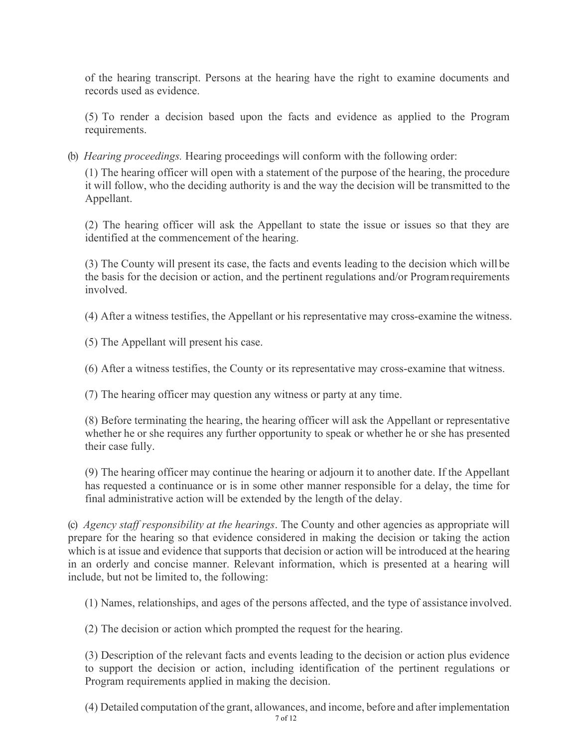of the hearing transcript. Persons at the hearing have the right to examine documents and records used as evidence.

(5) To render a decision based upon the facts and evidence as applied to the Program requirements.

(b) *Hearing proceedings.* Hearing proceedings will conform with the following order:

(1) The hearing officer will open with a statement of the purpose of the hearing, the procedure it will follow, who the deciding authority is and the way the decision will be transmitted to the Appellant.

(2) The hearing officer will ask the Appellant to state the issue or issues so that they are identified at the commencement of the hearing.

(3) The County will present its case, the facts and events leading to the decision which will be the basis for the decision or action, and the pertinent regulations and/or Program requirements involved.

(4) After a witness testifies, the Appellant or his representative may cross-examine the witness.

(5) The Appellant will present his case.

(6) After a witness testifies, the County or its representative may cross-examine that witness.

(7) The hearing officer may question any witness or party at any time.

(8) Before terminating the hearing, the hearing officer will ask the Appellant or representative whether he or she requires any further opportunity to speak or whether he or she has presented their case fully.

(9) The hearing officer may continue the hearing or adjourn it to another date. If the Appellant has requested a continuance or is in some other manner responsible for a delay, the time for final administrative action will be extended by the length of the delay.

(c) *Agency staff responsibility at the hearings*. The County and other agencies as appropriate will prepare for the hearing so that evidence considered in making the decision or taking the action which is at issue and evidence that supports that decision or action will be introduced at the hearing in an orderly and concise manner. Relevant information, which is presented at a hearing will include, but not be limited to, the following:

(1) Names, relationships, and ages of the persons affected, and the type of assistance involved.

(2) The decision or action which prompted the request for the hearing.

(3) Description of the relevant facts and events leading to the decision or action plus evidence to support the decision or action, including identification of the pertinent regulations or Program requirements applied in making the decision.

(4) Detailed computation of the grant, allowances, and income, before and after implementation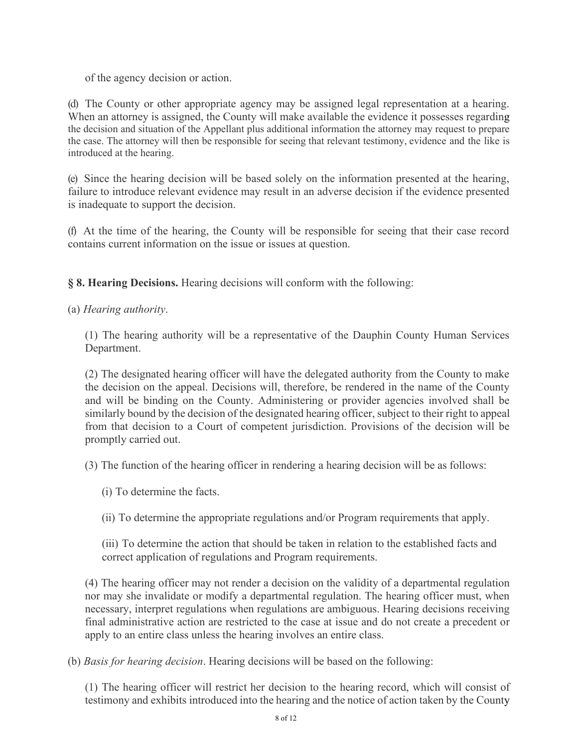of the agency decision or action.

(d) The County or other appropriate agency may be assigned legal representation at a hearing. When an attorney is assigned, the County will make available the evidence it possesses regarding the decision and situation of the Appellant plus additional information the attorney may request to prepare the case. The attorney will then be responsible for seeing that relevant testimony, evidence and the like is introduced at the hearing.

(e) Since the hearing decision will be based solely on the information presented at the hearing, failure to introduce relevant evidence may result in an adverse decision if the evidence presented is inadequate to support the decision.

(f) At the time of the hearing, the County will be responsible for seeing that their case record contains current information on the issue or issues at question.

**§ 8. Hearing Decisions.** Hearing decisions will conform with the following:

#### (a) *Hearing authority*.

(1) The hearing authority will be a representative of the Dauphin County Human Services Department.

(2) The designated hearing officer will have the delegated authority from the County to make the decision on the appeal. Decisions will, therefore, be rendered in the name of the County and will be binding on the County. Administering or provider agencies involved shall be similarly bound by the decision of the designated hearing officer, subject to their right to appeal from that decision to a Court of competent jurisdiction. Provisions of the decision will be promptly carried out.

(3) The function of the hearing officer in rendering a hearing decision will be as follows:

(i) To determine the facts.

(ii) To determine the appropriate regulations and/or Program requirements that apply.

(iii) To determine the action that should be taken in relation to the established facts and correct application of regulations and Program requirements.

(4) The hearing officer may not render a decision on the validity of a departmental regulation nor may she invalidate or modify a departmental regulation. The hearing officer must, when necessary, interpret regulations when regulations are ambiguous. Hearing decisions receiving final administrative action are restricted to the case at issue and do not create a precedent or apply to an entire class unless the hearing involves an entire class.

(b) *Basis for hearing decision*. Hearing decisions will be based on the following:

(1) The hearing officer will restrict her decision to the hearing record, which will consist of testimony and exhibits introduced into the hearing and the notice of action taken by the County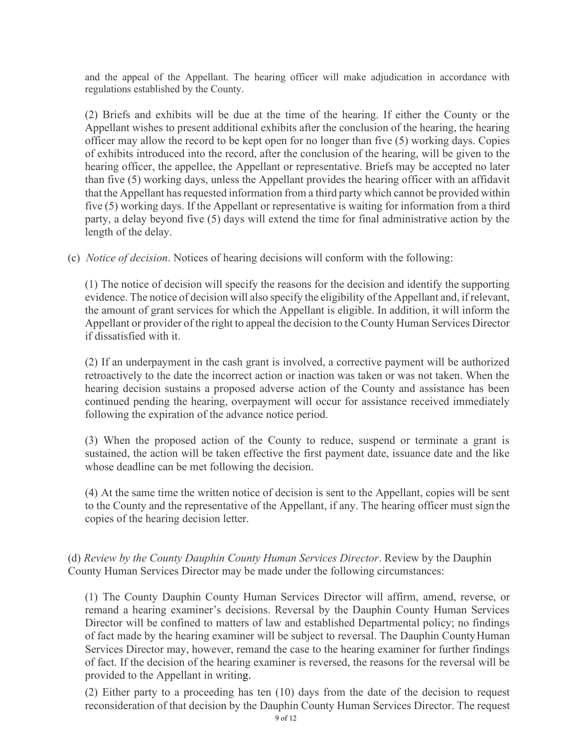and the appeal of the Appellant. The hearing officer will make adjudication in accordance with regulations established by the County.

(2) Briefs and exhibits will be due at the time of the hearing. If either the County or the Appellant wishes to present additional exhibits after the conclusion of the hearing, the hearing officer may allow the record to be kept open for no longer than five (5) working days. Copies of exhibits introduced into the record, after the conclusion of the hearing, will be given to the hearing officer, the appellee, the Appellant or representative. Briefs may be accepted no later than five (5) working days, unless the Appellant provides the hearing officer with an affidavit that the Appellant has requested information from a third party which cannot be provided within five (5) working days. If the Appellant or representative is waiting for information from a third party, a delay beyond five (5) days will extend the time for final administrative action by the length of the delay.

(c) *Notice of decision*. Notices of hearing decisions will conform with the following:

(1) The notice of decision will specify the reasons for the decision and identify the supporting evidence. The notice of decision will also specify the eligibility of the Appellant and, if relevant, the amount of grant services for which the Appellant is eligible. In addition, it will inform the Appellant or provider of the right to appeal the decision to the County Human Services Director if dissatisfied with it.

(2) If an underpayment in the cash grant is involved, a corrective payment will be authorized retroactively to the date the incorrect action or inaction was taken or was not taken. When the hearing decision sustains a proposed adverse action of the County and assistance has been continued pending the hearing, overpayment will occur for assistance received immediately following the expiration of the advance notice period.

(3) When the proposed action of the County to reduce, suspend or terminate a grant is sustained, the action will be taken effective the first payment date, issuance date and the like whose deadline can be met following the decision.

(4) At the same time the written notice of decision is sent to the Appellant, copies will be sent to the County and the representative of the Appellant, if any. The hearing officer must sign the copies of the hearing decision letter.

(d) *Review by the County Dauphin County Human Services Director*. Review by the Dauphin County Human Services Director may be made under the following circumstances:

(1) The County Dauphin County Human Services Director will affirm, amend, reverse, or remand a hearing examiner's decisions. Reversal by the Dauphin County Human Services Director will be confined to matters of law and established Departmental policy; no findings of fact made by the hearing examiner will be subject to reversal. The Dauphin County Human Services Director may, however, remand the case to the hearing examiner for further findings of fact. If the decision of the hearing examiner is reversed, the reasons for the reversal will be provided to the Appellant in writing.

(2) Either party to a proceeding has ten (10) days from the date of the decision to request reconsideration of that decision by the Dauphin County Human Services Director. The request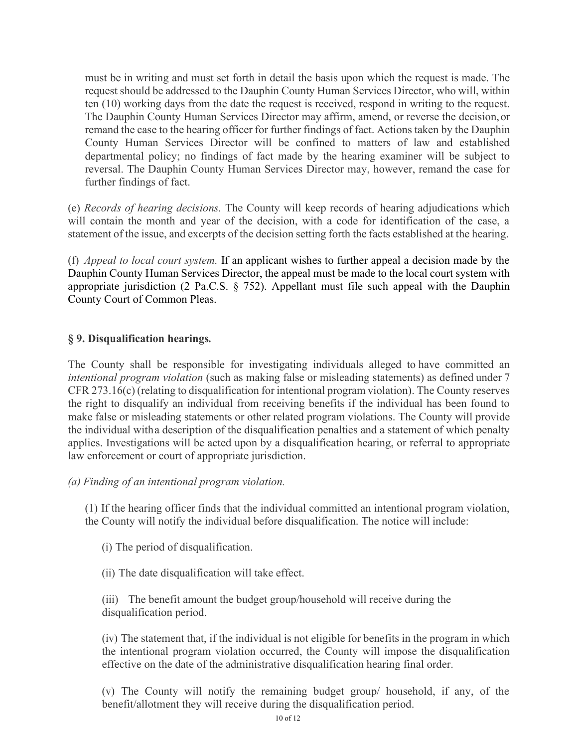must be in writing and must set forth in detail the basis upon which the request is made. The request should be addressed to the Dauphin County Human Services Director, who will, within ten (10) working days from the date the request is received, respond in writing to the request. The Dauphin County Human Services Director may affirm, amend, or reverse the decision, or remand the case to the hearing officer for further findings of fact. Actions taken by the Dauphin County Human Services Director will be confined to matters of law and established departmental policy; no findings of fact made by the hearing examiner will be subject to reversal. The Dauphin County Human Services Director may, however, remand the case for further findings of fact.

(e) *Records of hearing decisions.* The County will keep records of hearing adjudications which will contain the month and year of the decision, with a code for identification of the case, a statement of the issue, and excerpts of the decision setting forth the facts established at the hearing.

(f) *Appeal to local court system.* If an applicant wishes to further appeal a decision made by the Dauphin County Human Services Director, the appeal must be made to the local court system with appropriate jurisdiction (2 Pa.C.S. § 752). Appellant must file such appeal with the Dauphin County Court of Common Pleas.

#### **§ 9. Disqualification hearings***.*

The County shall be responsible for investigating individuals alleged to have committed an *intentional program violation* (such as making false or misleading statements) as defined under 7 CFR 273.16(c) (relating to disqualification for intentional program violation). The County reserves the right to disqualify an individual from receiving benefits if the individual has been found to make false or misleading statements or other related program violations. The County will provide the individual with a description of the disqualification penalties and a statement of which penalty applies. Investigations will be acted upon by a disqualification hearing, or referral to appropriate law enforcement or court of appropriate jurisdiction.

*(a) Finding of an intentional program violation.*

(1) If the hearing officer finds that the individual committed an intentional program violation, the County will notify the individual before disqualification. The notice will include:

- (i) The period of disqualification.
- (ii) The date disqualification will take effect.

(iii) The benefit amount the budget group/household will receive during the disqualification period.

(iv) The statement that, if the individual is not eligible for benefits in the program in which the intentional program violation occurred, the County will impose the disqualification effective on the date of the administrative disqualification hearing final order.

(v) The County will notify the remaining budget group/ household, if any, of the benefit/allotment they will receive during the disqualification period.